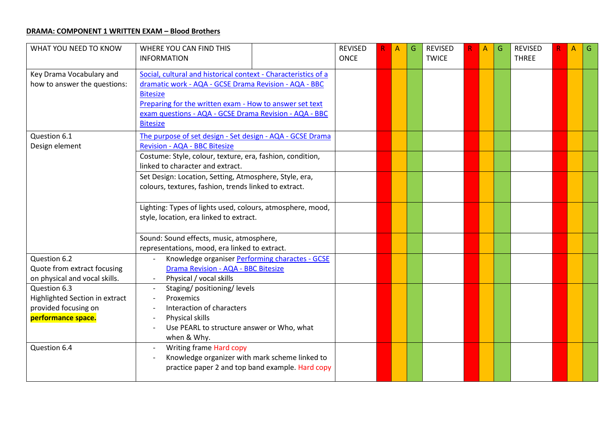#### **DRAMA: COMPONENT 1 WRITTEN EXAM – Blood Brothers**

| WHAT YOU NEED TO KNOW                      | WHERE YOU CAN FIND THIS                                        | <b>REVISED</b> | Α | G | <b>REVISED</b> | A | G | <b>REVISED</b> | A | G |
|--------------------------------------------|----------------------------------------------------------------|----------------|---|---|----------------|---|---|----------------|---|---|
|                                            | <b>INFORMATION</b>                                             | <b>ONCE</b>    |   |   | <b>TWICE</b>   |   |   | <b>THREE</b>   |   |   |
| Key Drama Vocabulary and                   | Social, cultural and historical context - Characteristics of a |                |   |   |                |   |   |                |   |   |
| how to answer the questions:               | dramatic work - AQA - GCSE Drama Revision - AQA - BBC          |                |   |   |                |   |   |                |   |   |
|                                            | <b>Bitesize</b>                                                |                |   |   |                |   |   |                |   |   |
|                                            | Preparing for the written exam - How to answer set text        |                |   |   |                |   |   |                |   |   |
|                                            | exam questions - AQA - GCSE Drama Revision - AQA - BBC         |                |   |   |                |   |   |                |   |   |
|                                            | <b>Bitesize</b>                                                |                |   |   |                |   |   |                |   |   |
| Question 6.1                               | The purpose of set design - Set design - AQA - GCSE Drama      |                |   |   |                |   |   |                |   |   |
| Design element                             | <b>Revision - AQA - BBC Bitesize</b>                           |                |   |   |                |   |   |                |   |   |
|                                            | Costume: Style, colour, texture, era, fashion, condition,      |                |   |   |                |   |   |                |   |   |
|                                            | linked to character and extract.                               |                |   |   |                |   |   |                |   |   |
|                                            | Set Design: Location, Setting, Atmosphere, Style, era,         |                |   |   |                |   |   |                |   |   |
|                                            | colours, textures, fashion, trends linked to extract.          |                |   |   |                |   |   |                |   |   |
|                                            |                                                                |                |   |   |                |   |   |                |   |   |
|                                            | Lighting: Types of lights used, colours, atmosphere, mood,     |                |   |   |                |   |   |                |   |   |
|                                            | style, location, era linked to extract.                        |                |   |   |                |   |   |                |   |   |
|                                            |                                                                |                |   |   |                |   |   |                |   |   |
|                                            | Sound: Sound effects, music, atmosphere,                       |                |   |   |                |   |   |                |   |   |
|                                            | representations, mood, era linked to extract.                  |                |   |   |                |   |   |                |   |   |
| Question 6.2                               | Knowledge organiser Performing charactes - GCSE                |                |   |   |                |   |   |                |   |   |
| Quote from extract focusing                | Drama Revision - AQA - BBC Bitesize                            |                |   |   |                |   |   |                |   |   |
| on physical and vocal skills.              | Physical / vocal skills                                        |                |   |   |                |   |   |                |   |   |
| Question 6.3                               | Staging/ positioning/ levels                                   |                |   |   |                |   |   |                |   |   |
| Highlighted Section in extract             | Proxemics<br>Interaction of characters                         |                |   |   |                |   |   |                |   |   |
| provided focusing on<br>performance space. | Physical skills                                                |                |   |   |                |   |   |                |   |   |
|                                            | Use PEARL to structure answer or Who, what                     |                |   |   |                |   |   |                |   |   |
|                                            | when & Why.                                                    |                |   |   |                |   |   |                |   |   |
| Question 6.4                               | Writing frame Hard copy                                        |                |   |   |                |   |   |                |   |   |
|                                            | Knowledge organizer with mark scheme linked to                 |                |   |   |                |   |   |                |   |   |
|                                            | practice paper 2 and top band example. Hard copy               |                |   |   |                |   |   |                |   |   |
|                                            |                                                                |                |   |   |                |   |   |                |   |   |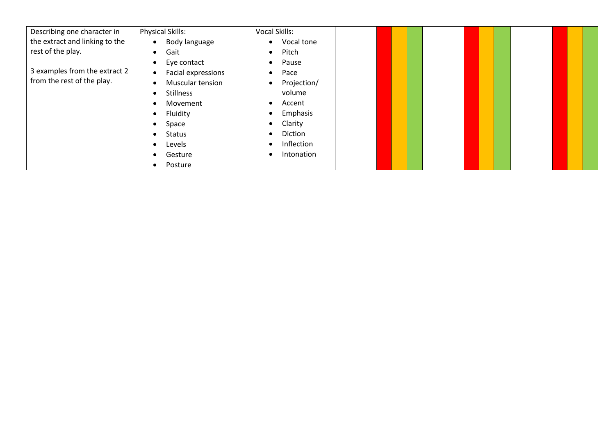| Describing one character in    | <b>Physical Skills:</b>    | <b>Vocal Skills:</b> |
|--------------------------------|----------------------------|----------------------|
| the extract and linking to the | Body language<br>$\bullet$ | Vocal tone           |
| rest of the play.              | Gait<br>$\bullet$          | Pitch<br>$\bullet$   |
|                                | Eye contact<br>$\bullet$   | Pause<br>$\bullet$   |
| 3 examples from the extract 2  | Facial expressions         | Pace                 |
| from the rest of the play.     | Muscular tension           | Projection/          |
|                                | <b>Stillness</b>           | volume               |
|                                | Movement                   | Accent               |
|                                | Fluidity                   | Emphasis             |
|                                | Space                      | Clarity<br>$\bullet$ |
|                                | <b>Status</b>              | Diction<br>$\bullet$ |
|                                | Levels                     | Inflection           |
|                                | Gesture                    | Intonation           |
|                                | Posture                    |                      |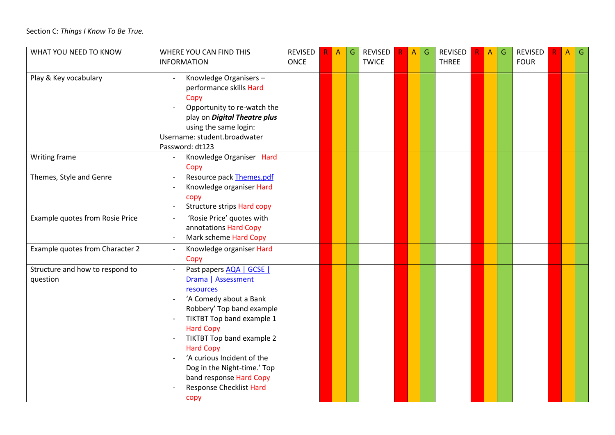Section C: *Things I Know To Be True.*

| WHAT YOU NEED TO KNOW                       | WHERE YOU CAN FIND THIS<br><b>INFORMATION</b>                                                                                                                                                                                                                                                                                                          | REVISED<br><b>ONCE</b> | $\mathsf{R}$ | $\overline{A}$ | G | REVISED<br><b>TWICE</b> | $\mathsf{R}$ | $\mathsf{A}$ | G | <b>REVISED</b><br><b>THREE</b> | A | G | <b>REVISED</b><br><b>FOUR</b> | R | A | G |
|---------------------------------------------|--------------------------------------------------------------------------------------------------------------------------------------------------------------------------------------------------------------------------------------------------------------------------------------------------------------------------------------------------------|------------------------|--------------|----------------|---|-------------------------|--------------|--------------|---|--------------------------------|---|---|-------------------------------|---|---|---|
| Play & Key vocabulary                       | Knowledge Organisers-<br>performance skills Hard<br>Copy<br>Opportunity to re-watch the<br>play on Digital Theatre plus<br>using the same login:<br>Username: student.broadwater<br>Password: dt123                                                                                                                                                    |                        |              |                |   |                         |              |              |   |                                |   |   |                               |   |   |   |
| Writing frame                               | Knowledge Organiser Hard<br>Copy                                                                                                                                                                                                                                                                                                                       |                        |              |                |   |                         |              |              |   |                                |   |   |                               |   |   |   |
| Themes, Style and Genre                     | Resource pack Themes.pdf<br>Knowledge organiser Hard<br>copy<br><b>Structure strips Hard copy</b><br>$\overline{\phantom{a}}$                                                                                                                                                                                                                          |                        |              |                |   |                         |              |              |   |                                |   |   |                               |   |   |   |
| Example quotes from Rosie Price             | 'Rosie Price' quotes with<br>annotations Hard Copy<br>Mark scheme Hard Copy<br>$\overline{\phantom{a}}$                                                                                                                                                                                                                                                |                        |              |                |   |                         |              |              |   |                                |   |   |                               |   |   |   |
| Example quotes from Character 2             | Knowledge organiser Hard<br>$\overline{a}$<br>Copy                                                                                                                                                                                                                                                                                                     |                        |              |                |   |                         |              |              |   |                                |   |   |                               |   |   |   |
| Structure and how to respond to<br>question | Past papers AQA   GCSE  <br>Drama   Assessment<br>resources<br>'A Comedy about a Bank<br>Robbery' Top band example<br>TIKTBT Top band example 1<br><b>Hard Copy</b><br>TIKTBT Top band example 2<br><b>Hard Copy</b><br>'A curious Incident of the<br>Dog in the Night-time.' Top<br>band response Hard Copy<br><b>Response Checklist Hard</b><br>copy |                        |              |                |   |                         |              |              |   |                                |   |   |                               |   |   |   |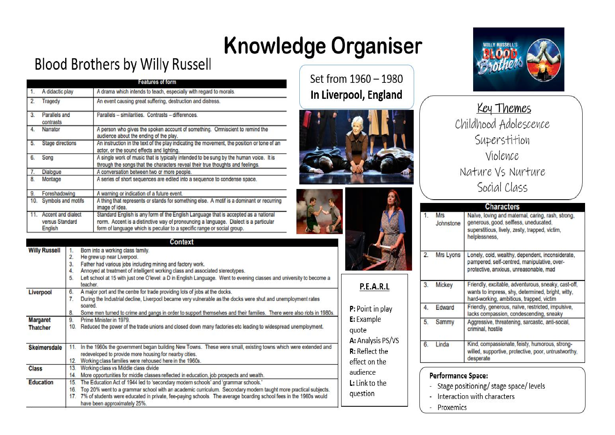# **Knowledge Organiser**

# **Blood Brothers by Willy Russell**

|     |                                                  | <b>Features of form</b>                                                                                                                                                                                                                                |
|-----|--------------------------------------------------|--------------------------------------------------------------------------------------------------------------------------------------------------------------------------------------------------------------------------------------------------------|
| 1.  | A didactic play                                  | A drama which intends to teach, especially with regard to morals.                                                                                                                                                                                      |
| 2.  | Tragedy                                          | An event causing great suffering, destruction and distress.                                                                                                                                                                                            |
| 3.  | Parallels and<br>contrasts                       | Parallels - similarities. Contrasts - differences.                                                                                                                                                                                                     |
| 4.  | Narrator                                         | A person who gives the spoken account of something. Omniscient to remind the<br>audience about the ending of the play.                                                                                                                                 |
| 5.  | Stage directions                                 | An instruction in the text of the play indicating the movement, the position or tone of an<br>actor, or the sound effects and lighting.                                                                                                                |
| 6.  | Song                                             | A single work of music that is typically intended to be sung by the human voice. It is<br>through the songs that the characters reveal their true thoughts and feelings.                                                                               |
| 7.  | Dialogue                                         | A conversation between two or more people.                                                                                                                                                                                                             |
| 8.  | Montage                                          | A series of short sequences are edited into a sequence to condense space.                                                                                                                                                                              |
| 9.  | Foreshadowing                                    | A warning or indication of a future event.                                                                                                                                                                                                             |
| 10. | Symbols and motifs                               | A thing that represents or stands for something else. A motif is a dominant or recurring<br>image of idea.                                                                                                                                             |
| 11. | Accent and dialect<br>versus Standard<br>English | Standard English is any form of the English Language that is accepted as a national<br>norm. Accent is a distinctive way of pronouncing a language. Dialect is a particular<br>form of language which is peculiar to a specific range or social group. |

|                                    | <b>Context</b>                                                                                                                                                                                                                                                                                                                                                                |
|------------------------------------|-------------------------------------------------------------------------------------------------------------------------------------------------------------------------------------------------------------------------------------------------------------------------------------------------------------------------------------------------------------------------------|
| <b>Willy Russell</b>               | Born into a working class family.<br>He grew up near Liverpool.<br>2.<br>Father had various jobs including mining and factory work.<br>3.<br>Annoyed at treatment of intelligent working class and associated stereotypes.<br>4.<br>Left school at 15 with just one O'level: a D in English Language. Went to evening classes and university to become a<br>5.<br>teacher.    |
| Liverpool                          | A major port and the centre for trade providing lots of jobs at the docks.<br>6.<br>During the Industrial decline, Liverpool became very vulnerable as the docks were shut and unemployment rates<br>7.<br>soared.<br>Some men turned to crime and gangs in order to support themselves and their families. There were also riots in 1980s.<br>8.                             |
| <b>Margaret</b><br><b>Thatcher</b> | 9.<br>Prime Minister in 1979.<br>Reduced the power of the trade unions and closed down many factories etc leading to widespread unemployment.<br>10 <sub>1</sub>                                                                                                                                                                                                              |
| <b>Skelmersdale</b>                | In the 1960s the government began building New Towns. These were small, existing towns which were extended and<br>11.<br>redeveloped to provide more housing for nearby cities.<br>Working class families were rehoused here in the 1960s.<br>12.                                                                                                                             |
| <b>Class</b>                       | Working class vs Middle class divide<br>13.<br>More opportunities for middle classes reflected in education, job prospects and wealth.<br>14.                                                                                                                                                                                                                                 |
| <b>Education</b>                   | The Education Act of 1944 led to 'secondary modern schools' and 'grammar schools.'<br>15.<br>Top 20% went to a grammar school with an academic curriculum. Secondary modern taught more practical subjects.<br>16.<br>7% of students were educated in private, fee-paying schools. The average boarding school fees in the 1960s would<br>17.<br>have been approximately 25%. |

Set from 1960 - 1980 In Liverpool, England





| <b>P.E.A.R.L</b>      |
|-----------------------|
| oint in play          |
| <b>Example</b><br>ote |
| Analysis PS/VS        |
| Reflect the           |
| ect on the            |
| dience                |
| ink to the            |
| estion                |



Key Themes Childhood Adolescence Superstition Violence Nature Vs Nurture Social Class

|    |                         | <b>Characters</b>                                                                                                                                             |
|----|-------------------------|---------------------------------------------------------------------------------------------------------------------------------------------------------------|
| 1. | <b>Mrs</b><br>Johnstone | Naïve, loving and maternal, caring, rash, strong,<br>generous, good, selfless, uneducated,<br>superstitious, lively, zesty, trapped, victim,<br>helplessness, |
| 2. | Mrs Lyons               | Lonely, cold, wealthy, dependent, inconsiderate,<br>pampered, self-centred, manipulative, over-<br>protective, anxious, unreasonable, mad                     |
| 3. | Mickey                  | Friendly, excitable, adventurous, sneaky, cast-off,<br>wants to impress, shy, determined, bright, witty,<br>hard-working, ambitious, trapped, victim          |
| 4  | Edward                  | Friendly, generous, naïve, restricted, impulsive,<br>lacks compassion, condescending, sneaky                                                                  |
| 5. | Sammy                   | Aggressive, threatening, sarcastic, anti-social,<br>criminal, hostile                                                                                         |
| 6. | Linda                   | Kind, compassionate, feisty, humorous, strong-<br>willed, supportive, protective, poor, untrustworthy,<br>desperate                                           |

#### **Performance Space:**

- Stage positioning/ stage space/ levels
- Interaction with characters
- Proxemics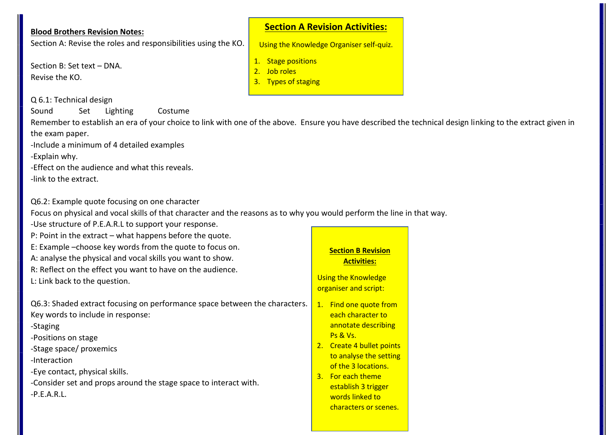#### **Blood Brothers Revision Notes:**

Section A: Revise the roles and responsibilities using the KO.

Section B: Set text – DNA. Revise the KO.

## Q 6.1: Technical design

Sound Set Lighting Costume

Remember to establish an era of your choice to link with one of the above. Ensure you have described the technical design linking to the extract given in the exam paper.

-Include a minimum of 4 detailed examples

-Explain why.

-Effect on the audience and what this reveals.

-link to the extract.

Q6.2: Example quote focusing on one character

Focus on physical and vocal skills of that character and the reasons as to why you would perform the line in that way.

-Use structure of P.E.A.R.L to support your response. P: Point in the extract – what happens before the quote.

E: Example –choose key words from the quote to focus on.

A: analyse the physical and vocal skills you want to show.

R: Reflect on the effect you want to have on the audience.

L: Link back to the question.

Q6.3: Shaded extract focusing on performance space between the characters. Key words to include in response:

-Staging

-Positions on stage

-Stage space/ proxemics

-Interaction

-Eye contact, physical skills.

-Consider set and props around the stage space to interact with.  $-P.E.A.R.L.$ 

## **Section A Revision Activities:**

Using the Knowledge Organiser self-quiz.

- 1. Stage positions
- 2. Joh roles
- 3. Types of staging

**Section B Revision Activities:** 

Using the Knowledge organiser and script:

- 1. Find one quote from each character to annotate describing Ps & Vs.
- 2. Create 4 bullet points to analyse the setting of the 3 locations.
- 3. For each theme establish 3 trigger words linked to characters or scenes.